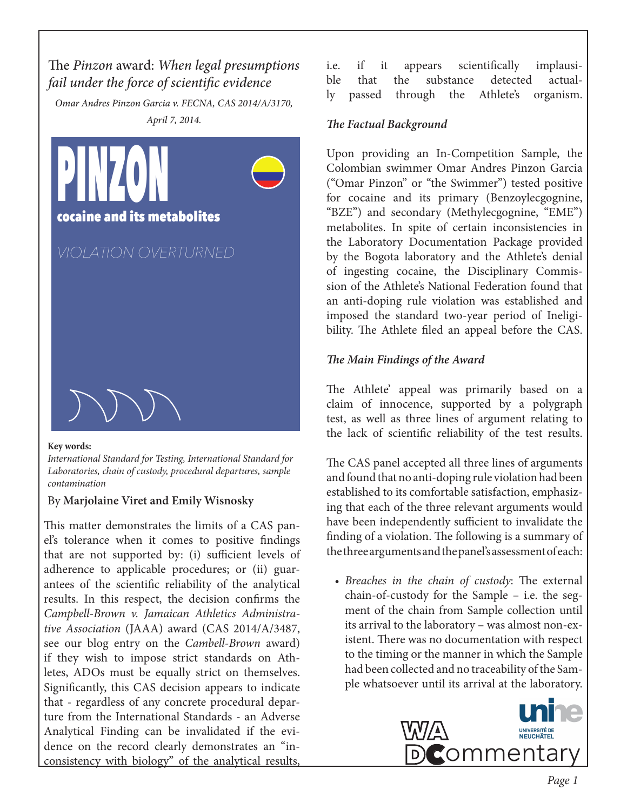# The *Pinzon* award: *When legal presumptions fail under the force of scientific evidence*

*Omar Andres Pinzon Garcia v. FECNA, CAS 2014/A/3170, April 7, 2014.*



#### **Key words:**

*International Standard for Testing, International Standard for Laboratories, chain of custody, procedural departures, sample contamination*

#### By **Marjolaine Viret and Emily Wisnosky**

This matter demonstrates the limits of a CAS panel's tolerance when it comes to positive findings that are not supported by: (i) sufficient levels of adherence to applicable procedures; or (ii) guarantees of the scientific reliability of the analytical results. In this respect, the decision confirms the *Campbell-Brown v. Jamaican Athletics Administrative Association* (JAAA) award (CAS 2014/A/3487, see our blog entry on the *Cambell-Brown* award) if they wish to impose strict standards on Athletes, ADOs must be equally strict on themselves. Significantly, this CAS decision appears to indicate that - regardless of any concrete procedural departure from the International Standards - an Adverse Analytical Finding can be invalidated if the evidence on the record clearly demonstrates an "inconsistency with biology" of the analytical results,

i.e. if it appears scientifically implausible that the substance detected actually passed through the Athlete's organism.

### *The Factual Background*

Upon providing an In-Competition Sample, the Colombian swimmer Omar Andres Pinzon Garcia ("Omar Pinzon" or "the Swimmer") tested positive for cocaine and its primary (Benzoylecgognine, "BZE") and secondary (Methylecgognine, "EME") metabolites. In spite of certain inconsistencies in the Laboratory Documentation Package provided by the Bogota laboratory and the Athlete's denial of ingesting cocaine, the Disciplinary Commission of the Athlete's National Federation found that an anti-doping rule violation was established and imposed the standard two-year period of Ineligibility. The Athlete filed an appeal before the CAS.

## *The Main Findings of the Award*

The Athlete' appeal was primarily based on a claim of innocence, supported by a polygraph test, as well as three lines of argument relating to the lack of scientific reliability of the test results.

The CAS panel accepted all three lines of arguments and found that no anti-doping rule violation had been established to its comfortable satisfaction, emphasizing that each of the three relevant arguments would have been independently sufficient to invalidate the finding of a violation. The following is a summary of the three arguments and the panel's assessment of each:

*• Breaches in the chain of custody*: The external chain-of-custody for the Sample – i.e. the segment of the chain from Sample collection until its arrival to the laboratory – was almost non-existent. There was no documentation with respect to the timing or the manner in which the Sample had been collected and no traceability of the Sample whatsoever until its arrival at the laboratory.

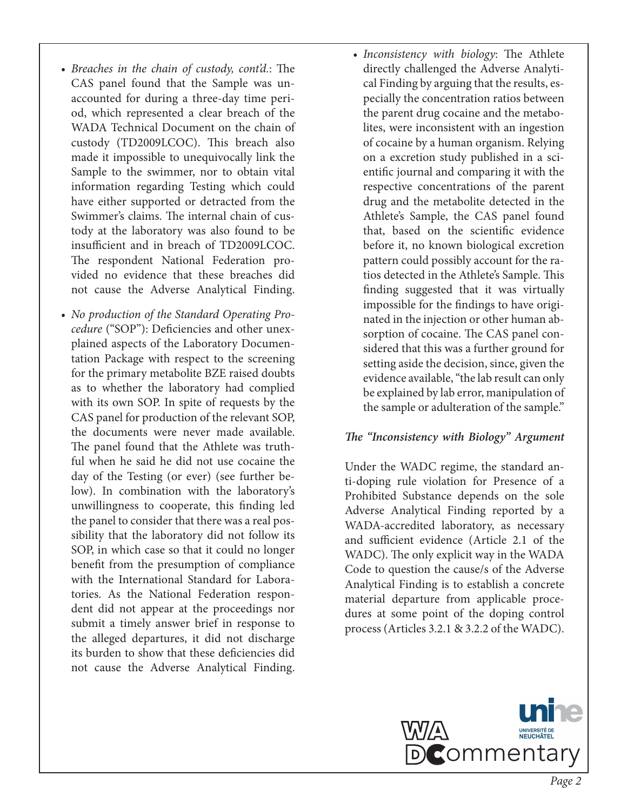- *• Breaches in the chain of custody, cont'd.*: The CAS panel found that the Sample was unaccounted for during a three-day time period, which represented a clear breach of the WADA Technical Document on the chain of custody (TD2009LCOC). This breach also made it impossible to unequivocally link the Sample to the swimmer, nor to obtain vital information regarding Testing which could have either supported or detracted from the Swimmer's claims. The internal chain of custody at the laboratory was also found to be insufficient and in breach of TD2009LCOC. The respondent National Federation provided no evidence that these breaches did not cause the Adverse Analytical Finding.
- *• No production of the Standard Operating Procedure* ("SOP"): Deficiencies and other unexplained aspects of the Laboratory Documentation Package with respect to the screening for the primary metabolite BZE raised doubts as to whether the laboratory had complied with its own SOP. In spite of requests by the CAS panel for production of the relevant SOP, the documents were never made available. The panel found that the Athlete was truthful when he said he did not use cocaine the day of the Testing (or ever) (see further below). In combination with the laboratory's unwillingness to cooperate, this finding led the panel to consider that there was a real possibility that the laboratory did not follow its SOP, in which case so that it could no longer benefit from the presumption of compliance with the International Standard for Laboratories. As the National Federation respondent did not appear at the proceedings nor submit a timely answer brief in response to the alleged departures, it did not discharge its burden to show that these deficiencies did not cause the Adverse Analytical Finding.
- *• Inconsistency with biology*: The Athlete directly challenged the Adverse Analytical Finding by arguing that the results, especially the concentration ratios between the parent drug cocaine and the metabolites, were inconsistent with an ingestion of cocaine by a human organism. Relying on a excretion study published in a scientific journal and comparing it with the respective concentrations of the parent drug and the metabolite detected in the Athlete's Sample, the CAS panel found that, based on the scientific evidence before it, no known biological excretion pattern could possibly account for the ratios detected in the Athlete's Sample. This finding suggested that it was virtually impossible for the findings to have originated in the injection or other human absorption of cocaine. The CAS panel considered that this was a further ground for setting aside the decision, since, given the evidence available, "the lab result can only be explained by lab error, manipulation of the sample or adulteration of the sample."

#### *The "Inconsistency with Biology" Argument*

Under the WADC regime, the standard anti-doping rule violation for Presence of a Prohibited Substance depends on the sole Adverse Analytical Finding reported by a WADA-accredited laboratory, as necessary and sufficient evidence (Article 2.1 of the WADC). The only explicit way in the WADA Code to question the cause/s of the Adverse Analytical Finding is to establish a concrete material departure from applicable procedures at some point of the doping control process (Articles 3.2.1 & 3.2.2 of the WADC).